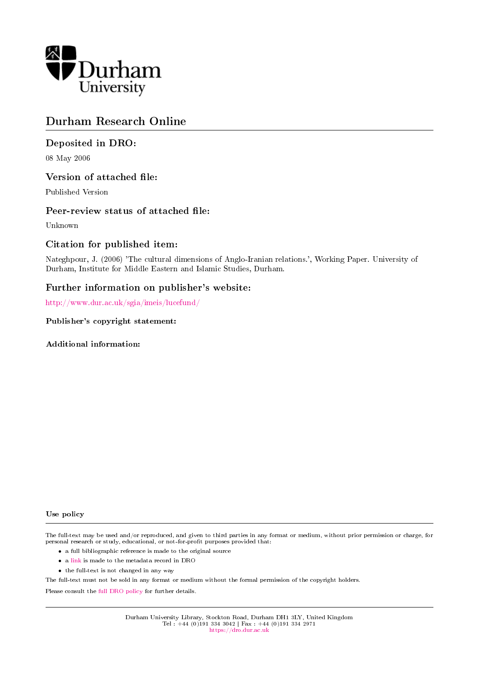

# Durham Research Online

## Deposited in DRO:

08 May 2006

### Version of attached file:

Published Version

### Peer-review status of attached file:

Unknown

### Citation for published item:

Nateghpour, J. (2006) 'The cultural dimensions of Anglo-Iranian relations.', Working Paper. University of Durham, Institute for Middle Eastern and Islamic Studies, Durham.

### Further information on publisher's website:

<http://www.dur.ac.uk/sgia/imeis/lucefund/>

Publisher's copyright statement:

Additional information:

#### Use policy

The full-text may be used and/or reproduced, and given to third parties in any format or medium, without prior permission or charge, for personal research or study, educational, or not-for-profit purposes provided that:

- a full bibliographic reference is made to the original source
- a [link](http://dro.dur.ac.uk/165/) is made to the metadata record in DRO
- the full-text is not changed in any way

The full-text must not be sold in any format or medium without the formal permission of the copyright holders.

Please consult the [full DRO policy](https://dro.dur.ac.uk/policies/usepolicy.pdf) for further details.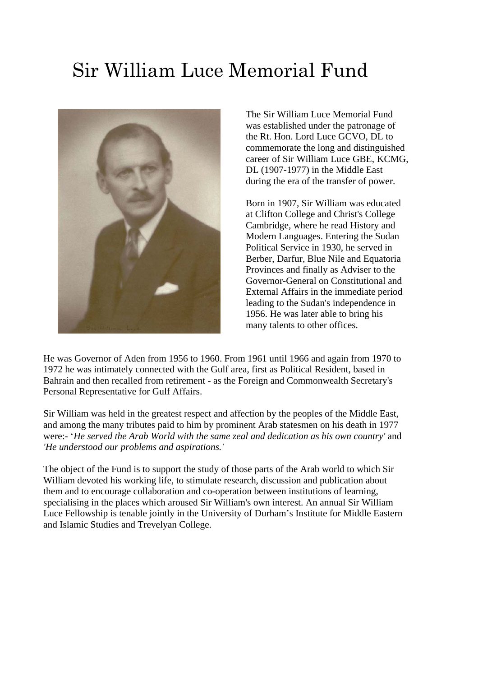# Sir William Luce Memorial Fund



The Sir William Luce Memorial Fund was established under the patronage of the Rt. Hon. Lord Luce GCVO, DL to commemorate the long and distinguished career of Sir William Luce GBE, KCMG, DL (1907-1977) in the Middle East during the era of the transfer of power.

Born in 1907, Sir William was educated at Clifton College and Christ's College Cambridge, where he read History and Modern Languages. Entering the Sudan Political Service in 1930, he served in Berber, Darfur, Blue Nile and Equatoria Provinces and finally as Adviser to the Governor-General on Constitutional and External Affairs in the immediate period leading to the Sudan's independence in 1956. He was later able to bring his many talents to other offices.

He was Governor of Aden from 1956 to 1960. From 1961 until 1966 and again from 1970 to 1972 he was intimately connected with the Gulf area, first as Political Resident, based in Bahrain and then recalled from retirement - as the Foreign and Commonwealth Secretary's Personal Representative for Gulf Affairs.

Sir William was held in the greatest respect and affection by the peoples of the Middle East, and among the many tributes paid to him by prominent Arab statesmen on his death in 1977 were:- '*He served the Arab World with the same zeal and dedication as his own country'* and *'He understood our problems and aspirations.'* 

The object of the Fund is to support the study of those parts of the Arab world to which Sir William devoted his working life, to stimulate research, discussion and publication about them and to encourage collaboration and co-operation between institutions of learning, specialising in the places which aroused Sir William's own interest. An annual Sir William Luce Fellowship is tenable jointly in the University of Durham's Institute for Middle Eastern and Islamic Studies and Trevelyan College.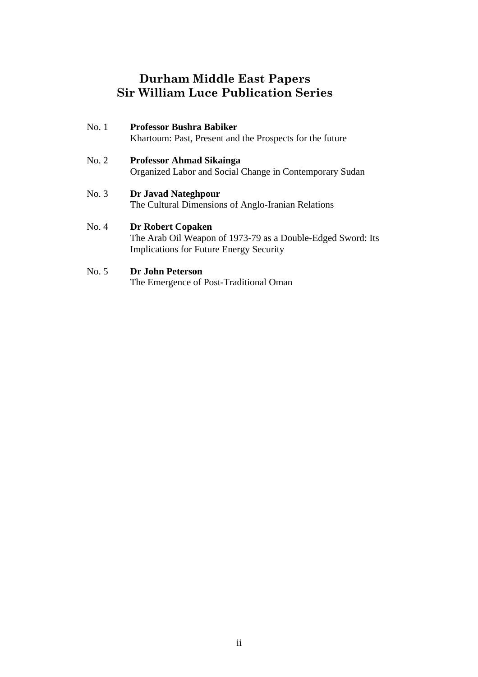# **Durham Middle East Papers Sir William Luce Publication Series**

| No.1  | <b>Professor Bushra Babiker</b><br>Khartoum: Past, Present and the Prospects for the future                                               |
|-------|-------------------------------------------------------------------------------------------------------------------------------------------|
| No. 2 | <b>Professor Ahmad Sikainga</b><br>Organized Labor and Social Change in Contemporary Sudan                                                |
| No. 3 | Dr Javad Nateghpour<br>The Cultural Dimensions of Anglo-Iranian Relations                                                                 |
| No. 4 | <b>Dr Robert Copaken</b><br>The Arab Oil Weapon of 1973-79 as a Double-Edged Sword: Its<br><b>Implications for Future Energy Security</b> |

# No. 5 **Dr John Peterson**

The Emergence of Post-Traditional Oman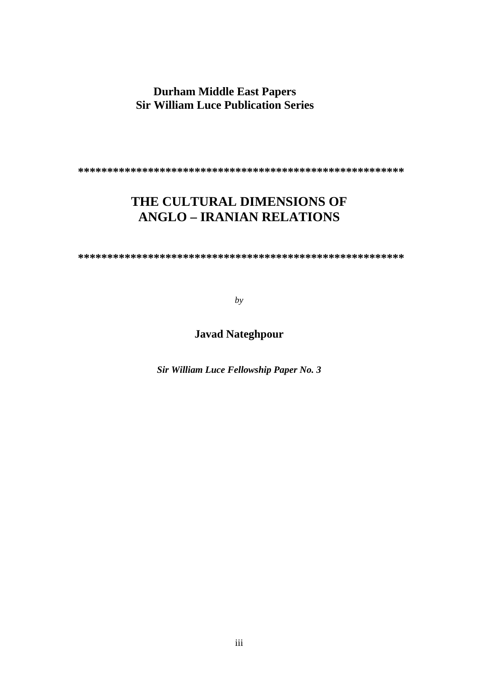# **Durham Middle East Papers Sir William Luce Publication Series**

**\*\*\*\*\*\*\*\*\*\*\*\*\*\*\*\*\*\*\*\*\*\*\*\*\*\*\*\*\*\*\*\*\*\*\*\*\*\*\*\*\*\*\*\*\*\*\*\*\*\*\*\*\*\*\*\*** 

# **THE CULTURAL DIMENSIONS OF ANGLO – IRANIAN RELATIONS**

**\*\*\*\*\*\*\*\*\*\*\*\*\*\*\*\*\*\*\*\*\*\*\*\*\*\*\*\*\*\*\*\*\*\*\*\*\*\*\*\*\*\*\*\*\*\*\*\*\*\*\*\*\*\*\*\***

*by* 

# **Javad Nateghpour**

*Sir William Luce Fellowship Paper No. 3*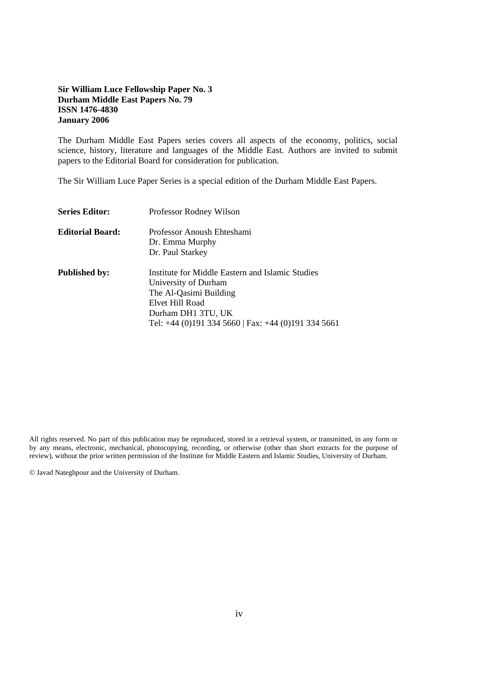#### **Sir William Luce Fellowship Paper No. 3 Durham Middle East Papers No. 79 ISSN 1476-4830 January 2006**

The Durham Middle East Papers series covers all aspects of the economy, politics, social science, history, literature and languages of the Middle East. Authors are invited to submit papers to the Editorial Board for consideration for publication.

The Sir William Luce Paper Series is a special edition of the Durham Middle East Papers.

| <b>Series Editor:</b>   | Professor Rodney Wilson                                                                                                                                                                                |
|-------------------------|--------------------------------------------------------------------------------------------------------------------------------------------------------------------------------------------------------|
| <b>Editorial Board:</b> | Professor Anoush Ehteshami<br>Dr. Emma Murphy<br>Dr. Paul Starkey                                                                                                                                      |
| <b>Published by:</b>    | Institute for Middle Eastern and Islamic Studies<br>University of Durham<br>The Al-Qasimi Building<br>Elvet Hill Road<br>Durham DH1 3TU, UK<br>Tel: $+44$ (0)191 334 5660   Fax: $+44$ (0)191 334 5661 |

All rights reserved. No part of this publication may be reproduced, stored in a retrieval system, or transmitted, in any form or by any means, electronic, mechanical, photocopying, recording, or otherwise (other than short extracts for the purpose of review), without the prior written permission of the Institute for Middle Eastern and Islamic Studies, University of Durham.

© Javad Nateghpour and the University of Durham.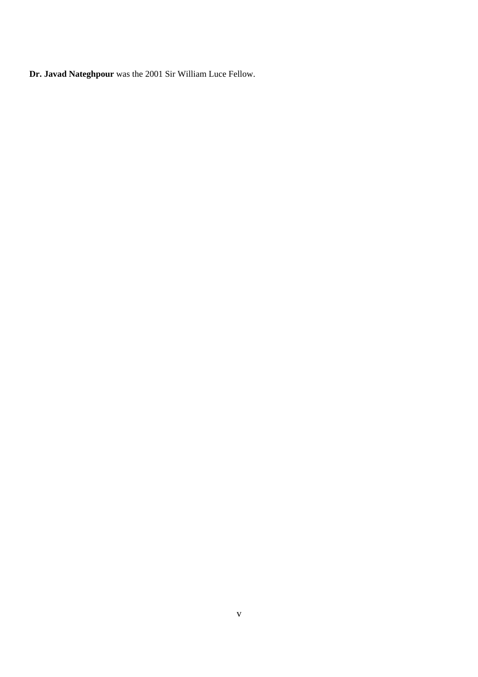**Dr. Javad Nateghpour** was the 2001 Sir William Luce Fellow.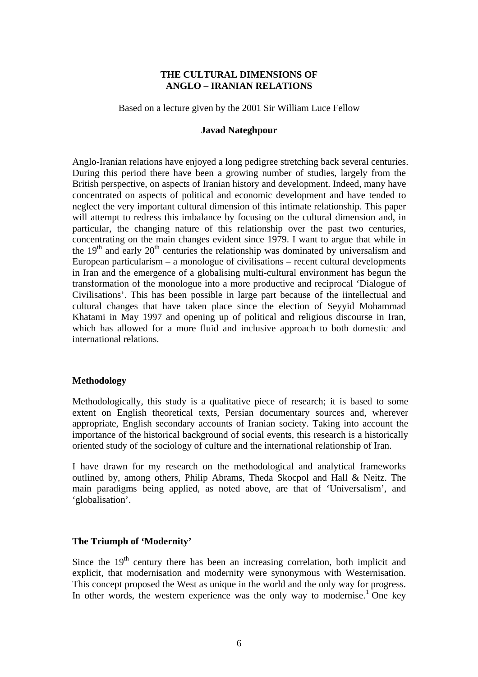### **THE CULTURAL DIMENSIONS OF ANGLO – IRANIAN RELATIONS**

Based on a lecture given by the 2001 Sir William Luce Fellow

#### **Javad Nateghpour**

Anglo-Iranian relations have enjoyed a long pedigree stretching back several centuries. During this period there have been a growing number of studies, largely from the British perspective, on aspects of Iranian history and development. Indeed, many have concentrated on aspects of political and economic development and have tended to neglect the very important cultural dimension of this intimate relationship. This paper will attempt to redress this imbalance by focusing on the cultural dimension and, in particular, the changing nature of this relationship over the past two centuries, concentrating on the main changes evident since 1979. I want to argue that while in the  $19<sup>th</sup>$  and early  $20<sup>th</sup>$  centuries the relationship was dominated by universalism and European particularism – a monologue of civilisations – recent cultural developments in Iran and the emergence of a globalising multi-cultural environment has begun the transformation of the monologue into a more productive and reciprocal 'Dialogue of Civilisations'. This has been possible in large part because of the iintellectual and cultural changes that have taken place since the election of Seyyid Mohammad Khatami in May 1997 and opening up of political and religious discourse in Iran, which has allowed for a more fluid and inclusive approach to both domestic and international relations.

### **Methodology**

Methodologically, this study is a qualitative piece of research; it is based to some extent on English theoretical texts, Persian documentary sources and, wherever appropriate, English secondary accounts of Iranian society. Taking into account the importance of the historical background of social events, this research is a historically oriented study of the sociology of culture and the international relationship of Iran.

I have drawn for my research on the methodological and analytical frameworks outlined by, among others, Philip Abrams, Theda Skocpol and Hall & Neitz. The main paradigms being applied, as noted above, are that of 'Universalism', and 'globalisation'.

### **The Triumph of 'Modernity'**

Since the  $19<sup>th</sup>$  century there has been an increasing correlation, both implicit and explicit, that modernisation and modernity were synonymous with Westernisation. This concept proposed the West as unique in the world and the only way for progress. In other words, the western experience was the only way to modernise.<sup>1</sup> One key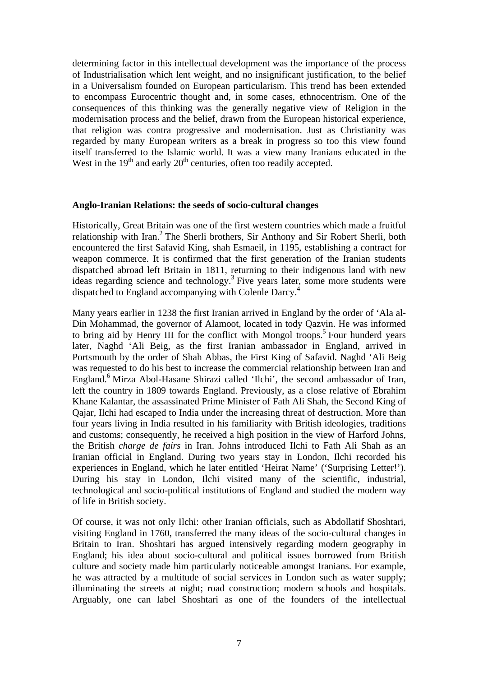determining factor in this intellectual development was the importance of the process of Industrialisation which lent weight, and no insignificant justification, to the belief in a Universalism founded on European particularism. This trend has been extended to encompass Eurocentric thought and, in some cases, ethnocentrism. One of the consequences of this thinking was the generally negative view of Religion in the modernisation process and the belief, drawn from the European historical experience, that religion was contra progressive and modernisation. Just as Christianity was regarded by many European writers as a break in progress so too this view found itself transferred to the Islamic world. It was a view many Iranians educated in the West in the  $19<sup>th</sup>$  and early  $20<sup>th</sup>$  centuries, often too readily accepted.

#### **Anglo-Iranian Relations: the seeds of socio-cultural changes**

Historically, Great Britain was one of the first western countries which made a fruitful relationship with Iran.<sup>2</sup> The Sherli brothers, Sir Anthony and Sir Robert Sherli, both encountered the first Safavid King, shah Esmaeil, in 1195, establishing a contract for weapon commerce. It is confirmed that the first generation of the Iranian students dispatched abroad left Britain in 1811, returning to their indigenous land with new ideas regarding science and technology.<sup>3</sup> Five years later, some more students were dispatched to England accompanying with Colenle Darcy.<sup>4</sup>

Many years earlier in 1238 the first Iranian arrived in England by the order of 'Ala al-Din Mohammad, the governor of Alamoot, located in tody Qazvin. He was informed to bring aid by Henry III for the conflict with Mongol troops.<sup>5</sup> Four hunderd years later, Naghd 'Ali Beig, as the first Iranian ambassador in England, arrived in Portsmouth by the order of Shah Abbas, the First King of Safavid. Naghd 'Ali Beig was requested to do his best to increase the commercial relationship between Iran and England.<sup>6</sup> Mirza Abol-Hasane Shirazi called 'Ilchi', the second ambassador of Iran, left the country in 1809 towards England. Previously, as a close relative of Ebrahim Khane Kalantar, the assassinated Prime Minister of Fath Ali Shah, the Second King of Qajar, Ilchi had escaped to India under the increasing threat of destruction. More than four years living in India resulted in his familiarity with British ideologies, traditions and customs; consequently, he received a high position in the view of Harford Johns, the British *charge de fairs* in Iran. Johns introduced Ilchi to Fath Ali Shah as an Iranian official in England. During two years stay in London, Ilchi recorded his experiences in England, which he later entitled 'Heirat Name' ('Surprising Letter!'). During his stay in London, Ilchi visited many of the scientific, industrial, technological and socio-political institutions of England and studied the modern way of life in British society.

Of course, it was not only Ilchi: other Iranian officials, such as Abdollatif Shoshtari, visiting England in 1760, transferred the many ideas of the socio-cultural changes in Britain to Iran. Shoshtari has argued intensively regarding modern geography in England; his idea about socio-cultural and political issues borrowed from British culture and society made him particularly noticeable amongst Iranians. For example, he was attracted by a multitude of social services in London such as water supply; illuminating the streets at night; road construction; modern schools and hospitals. Arguably, one can label Shoshtari as one of the founders of the intellectual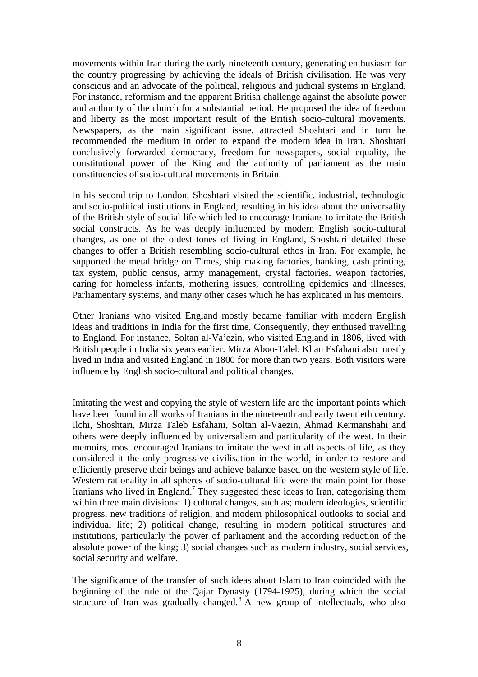movements within Iran during the early nineteenth century, generating enthusiasm for the country progressing by achieving the ideals of British civilisation. He was very conscious and an advocate of the political, religious and judicial systems in England. For instance, reformism and the apparent British challenge against the absolute power and authority of the church for a substantial period. He proposed the idea of freedom and liberty as the most important result of the British socio-cultural movements. Newspapers, as the main significant issue, attracted Shoshtari and in turn he recommended the medium in order to expand the modern idea in Iran. Shoshtari conclusively forwarded democracy, freedom for newspapers, social equality, the constitutional power of the King and the authority of parliament as the main constituencies of socio-cultural movements in Britain.

In his second trip to London, Shoshtari visited the scientific, industrial, technologic and socio-political institutions in England, resulting in his idea about the universality of the British style of social life which led to encourage Iranians to imitate the British social constructs. As he was deeply influenced by modern English socio-cultural changes, as one of the oldest tones of living in England, Shoshtari detailed these changes to offer a British resembling socio-cultural ethos in Iran. For example, he supported the metal bridge on Times, ship making factories, banking, cash printing, tax system, public census, army management, crystal factories, weapon factories, caring for homeless infants, mothering issues, controlling epidemics and illnesses, Parliamentary systems, and many other cases which he has explicated in his memoirs.

Other Iranians who visited England mostly became familiar with modern English ideas and traditions in India for the first time. Consequently, they enthused travelling to England. For instance, Soltan al-Va'ezin, who visited England in 1806, lived with British people in India six years earlier. Mirza Aboo-Taleb Khan Esfahani also mostly lived in India and visited England in 1800 for more than two years. Both visitors were influence by English socio-cultural and political changes.

Imitating the west and copying the style of western life are the important points which have been found in all works of Iranians in the nineteenth and early twentieth century. Ilchi, Shoshtari, Mirza Taleb Esfahani, Soltan al-Vaezin, Ahmad Kermanshahi and others were deeply influenced by universalism and particularity of the west. In their memoirs, most encouraged Iranians to imitate the west in all aspects of life, as they considered it the only progressive civilisation in the world, in order to restore and efficiently preserve their beings and achieve balance based on the western style of life. Western rationality in all spheres of socio-cultural life were the main point for those Iranians who lived in England.<sup>7</sup> They suggested these ideas to Iran, categorising them within three main divisions: 1) cultural changes, such as; modern ideologies, scientific progress, new traditions of religion, and modern philosophical outlooks to social and individual life; 2) political change, resulting in modern political structures and institutions, particularly the power of parliament and the according reduction of the absolute power of the king; 3) social changes such as modern industry, social services, social security and welfare.

The significance of the transfer of such ideas about Islam to Iran coincided with the beginning of the rule of the Qajar Dynasty (1794-1925), during which the social structure of Iran was gradually changed.<sup>8</sup> A new group of intellectuals, who also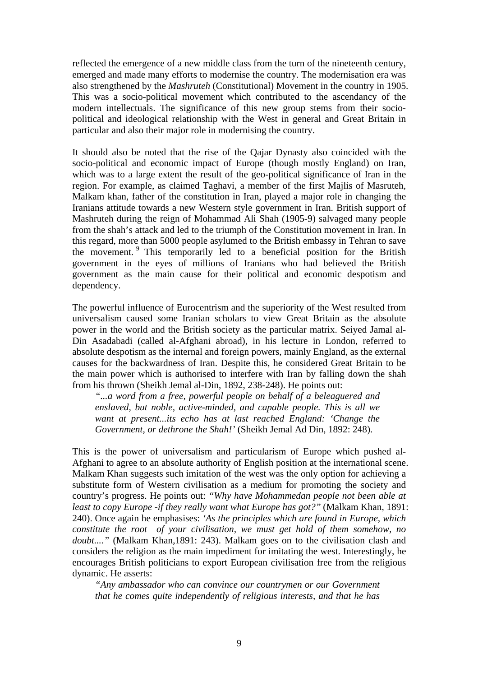reflected the emergence of a new middle class from the turn of the nineteenth century, emerged and made many efforts to modernise the country. The modernisation era was also strengthened by the *Mashruteh* (Constitutional) Movement in the country in 1905. This was a socio-political movement which contributed to the ascendancy of the modern intellectuals. The significance of this new group stems from their sociopolitical and ideological relationship with the West in general and Great Britain in particular and also their major role in modernising the country.

It should also be noted that the rise of the Qajar Dynasty also coincided with the socio-political and economic impact of Europe (though mostly England) on Iran, which was to a large extent the result of the geo-political significance of Iran in the region. For example, as claimed Taghavi, a member of the first Majlis of Masruteh, Malkam khan, father of the constitution in Iran, played a major role in changing the Iranians attitude towards a new Western style government in Iran. British support of Mashruteh during the reign of Mohammad Ali Shah (1905-9) salvaged many people from the shah's attack and led to the triumph of the Constitution movement in Iran. In this regard, more than 5000 people asylumed to the British embassy in Tehran to save the movement. 9 This temporarily led to a beneficial position for the British government in the eyes of millions of Iranians who had believed the British government as the main cause for their political and economic despotism and dependency.

The powerful influence of Eurocentrism and the superiority of the West resulted from universalism caused some Iranian scholars to view Great Britain as the absolute power in the world and the British society as the particular matrix. Seiyed Jamal al-Din Asadabadi (called al-Afghani abroad), in his lecture in London, referred to absolute despotism as the internal and foreign powers, mainly England, as the external causes for the backwardness of Iran. Despite this, he considered Great Britain to be the main power which is authorised to interfere with Iran by falling down the shah from his thrown (Sheikh Jemal al-Din, 1892, 238-248). He points out:

*"...a word from a free, powerful people on behalf of a beleaguered and enslaved, but noble, active-minded, and capable people. This is all we want at present...its echo has at last reached England: 'Change the Government, or dethrone the Shah!'* (Sheikh Jemal Ad Din, 1892: 248).

This is the power of universalism and particularism of Europe which pushed al-Afghani to agree to an absolute authority of English position at the international scene. Malkam Khan suggests such imitation of the west was the only option for achieving a substitute form of Western civilisation as a medium for promoting the society and country's progress. He points out: *"Why have Mohammedan people not been able at least to copy Europe -if they really want what Europe has got?"* (Malkam Khan, 1891: 240). Once again he emphasises: *'As the principles which are found in Europe, which constitute the root of your civilisation, we must get hold of them somehow, no doubt....*" (Malkam Khan,1891: 243). Malkam goes on to the civilisation clash and considers the religion as the main impediment for imitating the west. Interestingly, he encourages British politicians to export European civilisation free from the religious dynamic. He asserts:

*"Any ambassador who can convince our countrymen or our Government that he comes quite independently of religious interests, and that he has*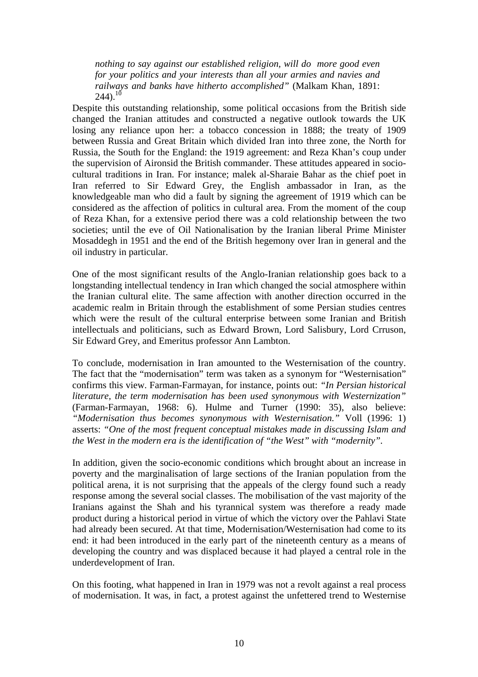*nothing to say against our established religion, will do more good even for your politics and your interests than all your armies and navies and railways and banks have hitherto accomplished"* (Malkam Khan, 1891:  $244$ ).<sup>10</sup>

Despite this outstanding relationship, some political occasions from the British side changed the Iranian attitudes and constructed a negative outlook towards the UK losing any reliance upon her: a tobacco concession in 1888; the treaty of 1909 between Russia and Great Britain which divided Iran into three zone, the North for Russia, the South for the England: the 1919 agreement: and Reza Khan's coup under the supervision of Aironsid the British commander. These attitudes appeared in sociocultural traditions in Iran. For instance; malek al-Sharaie Bahar as the chief poet in Iran referred to Sir Edward Grey, the English ambassador in Iran, as the knowledgeable man who did a fault by signing the agreement of 1919 which can be considered as the affection of politics in cultural area. From the moment of the coup of Reza Khan, for a extensive period there was a cold relationship between the two societies; until the eve of Oil Nationalisation by the Iranian liberal Prime Minister Mosaddegh in 1951 and the end of the British hegemony over Iran in general and the oil industry in particular.

One of the most significant results of the Anglo-Iranian relationship goes back to a longstanding intellectual tendency in Iran which changed the social atmosphere within the Iranian cultural elite. The same affection with another direction occurred in the academic realm in Britain through the establishment of some Persian studies centres which were the result of the cultural enterprise between some Iranian and British intellectuals and politicians, such as Edward Brown, Lord Salisbury, Lord Crruson, Sir Edward Grey, and Emeritus professor Ann Lambton.

To conclude, modernisation in Iran amounted to the Westernisation of the country. The fact that the "modernisation" term was taken as a synonym for "Westernisation" confirms this view. Farman-Farmayan, for instance, points out: *"In Persian historical literature, the term modernisation has been used synonymous with Westernization"* (Farman-Farmayan, 1968: 6). Hulme and Turner (1990: 35), also believe: *"Modernisation thus becomes synonymous with Westernisation."* Voll (1996: 1) asserts: *"One of the most frequent conceptual mistakes made in discussing Islam and the West in the modern era is the identification of "the West" with "modernity".*

In addition, given the socio-economic conditions which brought about an increase in poverty and the marginalisation of large sections of the Iranian population from the political arena, it is not surprising that the appeals of the clergy found such a ready response among the several social classes. The mobilisation of the vast majority of the Iranians against the Shah and his tyrannical system was therefore a ready made product during a historical period in virtue of which the victory over the Pahlavi State had already been secured. At that time, Modernisation/Westernisation had come to its end: it had been introduced in the early part of the nineteenth century as a means of developing the country and was displaced because it had played a central role in the underdevelopment of Iran.

On this footing, what happened in Iran in 1979 was not a revolt against a real process of modernisation. It was, in fact, a protest against the unfettered trend to Westernise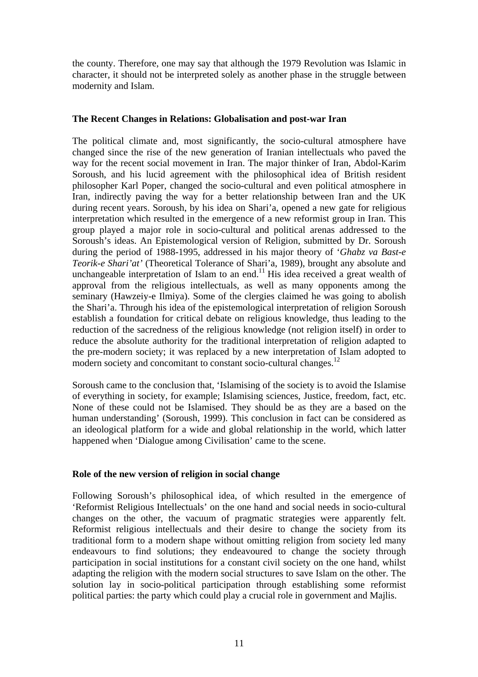the county. Therefore, one may say that although the 1979 Revolution was Islamic in character, it should not be interpreted solely as another phase in the struggle between modernity and Islam.

### **The Recent Changes in Relations: Globalisation and post-war Iran**

The political climate and, most significantly, the socio-cultural atmosphere have changed since the rise of the new generation of Iranian intellectuals who paved the way for the recent social movement in Iran. The major thinker of Iran, Abdol-Karim Soroush, and his lucid agreement with the philosophical idea of British resident philosopher Karl Poper, changed the socio-cultural and even political atmosphere in Iran, indirectly paving the way for a better relationship between Iran and the UK during recent years. Soroush, by his idea on Shari'a, opened a new gate for religious interpretation which resulted in the emergence of a new reformist group in Iran. This group played a major role in socio-cultural and political arenas addressed to the Soroush's ideas. An Epistemological version of Religion, submitted by Dr. Soroush during the period of 1988-1995, addressed in his major theory of '*Ghabz va Bast-e Teorik-e Shari'at'* (Theoretical Tolerance of Shari'a, 1989), brought any absolute and unchangeable interpretation of Islam to an end.<sup>11</sup> His idea received a great wealth of approval from the religious intellectuals, as well as many opponents among the seminary (Hawzeiy-e Ilmiya). Some of the clergies claimed he was going to abolish the Shari'a. Through his idea of the epistemological interpretation of religion Soroush establish a foundation for critical debate on religious knowledge, thus leading to the reduction of the sacredness of the religious knowledge (not religion itself) in order to reduce the absolute authority for the traditional interpretation of religion adapted to the pre-modern society; it was replaced by a new interpretation of Islam adopted to modern society and concomitant to constant socio-cultural changes.<sup>12</sup>

Soroush came to the conclusion that, 'Islamising of the society is to avoid the Islamise of everything in society, for example; Islamising sciences, Justice, freedom, fact, etc. None of these could not be Islamised. They should be as they are a based on the human understanding' (Soroush, 1999). This conclusion in fact can be considered as an ideological platform for a wide and global relationship in the world, which latter happened when 'Dialogue among Civilisation' came to the scene.

### **Role of the new version of religion in social change**

Following Soroush's philosophical idea, of which resulted in the emergence of 'Reformist Religious Intellectuals' on the one hand and social needs in socio-cultural changes on the other, the vacuum of pragmatic strategies were apparently felt. Reformist religious intellectuals and their desire to change the society from its traditional form to a modern shape without omitting religion from society led many endeavours to find solutions; they endeavoured to change the society through participation in social institutions for a constant civil society on the one hand, whilst adapting the religion with the modern social structures to save Islam on the other. The solution lay in socio-political participation through establishing some reformist political parties: the party which could play a crucial role in government and Majlis.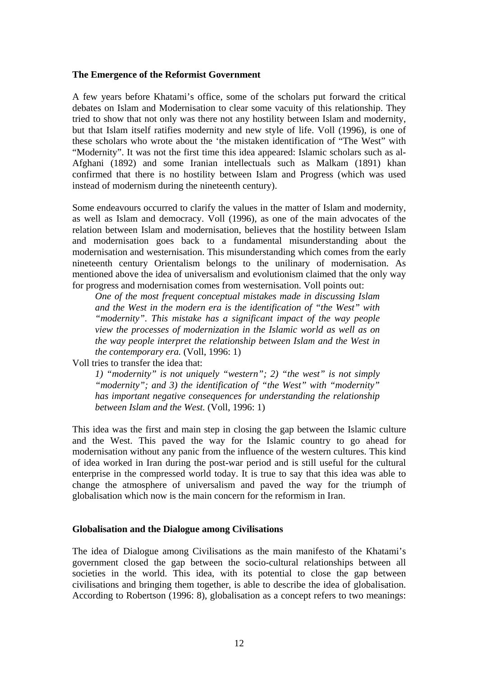#### **The Emergence of the Reformist Government**

A few years before Khatami's office, some of the scholars put forward the critical debates on Islam and Modernisation to clear some vacuity of this relationship. They tried to show that not only was there not any hostility between Islam and modernity, but that Islam itself ratifies modernity and new style of life. Voll (1996), is one of these scholars who wrote about the 'the mistaken identification of "The West" with "Modernity". It was not the first time this idea appeared: Islamic scholars such as al-Afghani (1892) and some Iranian intellectuals such as Malkam (1891) khan confirmed that there is no hostility between Islam and Progress (which was used instead of modernism during the nineteenth century).

Some endeavours occurred to clarify the values in the matter of Islam and modernity, as well as Islam and democracy. Voll (1996), as one of the main advocates of the relation between Islam and modernisation, believes that the hostility between Islam and modernisation goes back to a fundamental misunderstanding about the modernisation and westernisation. This misunderstanding which comes from the early nineteenth century Orientalism belongs to the unilinary of modernisation. As mentioned above the idea of universalism and evolutionism claimed that the only way for progress and modernisation comes from westernisation. Voll points out:

*One of the most frequent conceptual mistakes made in discussing Islam and the West in the modern era is the identification of "the West" with "modernity". This mistake has a significant impact of the way people view the processes of modernization in the Islamic world as well as on the way people interpret the relationship between Islam and the West in the contemporary era.* (Voll, 1996: 1)

Voll tries to transfer the idea that:

*1) "modernity" is not uniquely "western"; 2) "the west" is not simply "modernity"; and 3) the identification of "the West" with "modernity" has important negative consequences for understanding the relationship between Islam and the West.* (Voll, 1996: 1)

This idea was the first and main step in closing the gap between the Islamic culture and the West. This paved the way for the Islamic country to go ahead for modernisation without any panic from the influence of the western cultures. This kind of idea worked in Iran during the post-war period and is still useful for the cultural enterprise in the compressed world today. It is true to say that this idea was able to change the atmosphere of universalism and paved the way for the triumph of globalisation which now is the main concern for the reformism in Iran.

#### **Globalisation and the Dialogue among Civilisations**

The idea of Dialogue among Civilisations as the main manifesto of the Khatami's government closed the gap between the socio-cultural relationships between all societies in the world. This idea, with its potential to close the gap between civilisations and bringing them together, is able to describe the idea of globalisation. According to Robertson (1996: 8), globalisation as a concept refers to two meanings: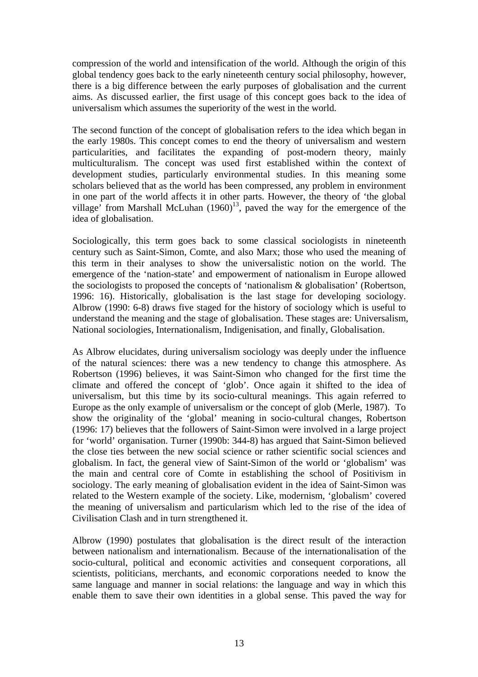compression of the world and intensification of the world. Although the origin of this global tendency goes back to the early nineteenth century social philosophy, however, there is a big difference between the early purposes of globalisation and the current aims. As discussed earlier, the first usage of this concept goes back to the idea of universalism which assumes the superiority of the west in the world.

The second function of the concept of globalisation refers to the idea which began in the early 1980s. This concept comes to end the theory of universalism and western particularities, and facilitates the expanding of post-modern theory, mainly multiculturalism. The concept was used first established within the context of development studies, particularly environmental studies. In this meaning some scholars believed that as the world has been compressed, any problem in environment in one part of the world affects it in other parts. However, the theory of 'the global village' from Marshall McLuhan  $(1960)^{13}$ , paved the way for the emergence of the idea of globalisation.

Sociologically, this term goes back to some classical sociologists in nineteenth century such as Saint-Simon, Comte, and also Marx; those who used the meaning of this term in their analyses to show the universalistic notion on the world. The emergence of the 'nation-state' and empowerment of nationalism in Europe allowed the sociologists to proposed the concepts of 'nationalism & globalisation' (Robertson, 1996: 16). Historically, globalisation is the last stage for developing sociology. Albrow (1990: 6-8) draws five staged for the history of sociology which is useful to understand the meaning and the stage of globalisation. These stages are: Universalism, National sociologies, Internationalism, Indigenisation, and finally, Globalisation.

As Albrow elucidates, during universalism sociology was deeply under the influence of the natural sciences: there was a new tendency to change this atmosphere. As Robertson (1996) believes, it was Saint-Simon who changed for the first time the climate and offered the concept of 'glob'. Once again it shifted to the idea of universalism, but this time by its socio-cultural meanings. This again referred to Europe as the only example of universalism or the concept of glob (Merle, 1987). To show the originality of the 'global' meaning in socio-cultural changes, Robertson (1996: 17) believes that the followers of Saint-Simon were involved in a large project for 'world' organisation. Turner (1990b: 344-8) has argued that Saint-Simon believed the close ties between the new social science or rather scientific social sciences and globalism. In fact, the general view of Saint-Simon of the world or 'globalism' was the main and central core of Comte in establishing the school of Positivism in sociology. The early meaning of globalisation evident in the idea of Saint-Simon was related to the Western example of the society. Like, modernism, 'globalism' covered the meaning of universalism and particularism which led to the rise of the idea of Civilisation Clash and in turn strengthened it.

Albrow (1990) postulates that globalisation is the direct result of the interaction between nationalism and internationalism. Because of the internationalisation of the socio-cultural, political and economic activities and consequent corporations, all scientists, politicians, merchants, and economic corporations needed to know the same language and manner in social relations: the language and way in which this enable them to save their own identities in a global sense. This paved the way for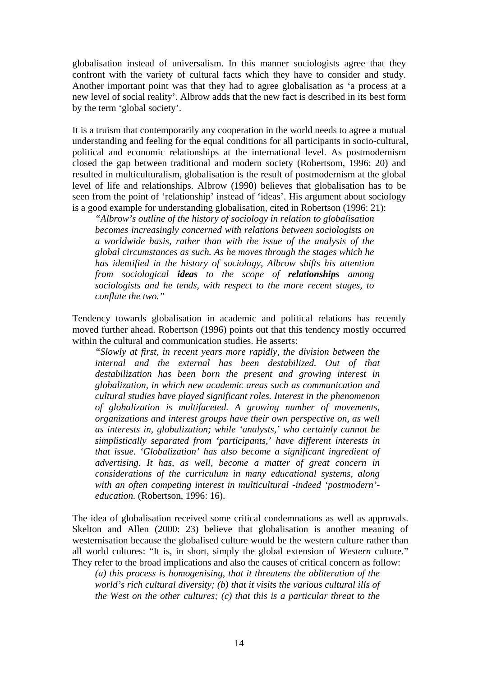globalisation instead of universalism. In this manner sociologists agree that they confront with the variety of cultural facts which they have to consider and study. Another important point was that they had to agree globalisation as 'a process at a new level of social reality'. Albrow adds that the new fact is described in its best form by the term 'global society'.

It is a truism that contemporarily any cooperation in the world needs to agree a mutual understanding and feeling for the equal conditions for all participants in socio-cultural, political and economic relationships at the international level. As postmodernism closed the gap between traditional and modern society (Robertsom, 1996: 20) and resulted in multiculturalism, globalisation is the result of postmodernism at the global level of life and relationships. Albrow (1990) believes that globalisation has to be seen from the point of 'relationship' instead of 'ideas'. His argument about sociology is a good example for understanding globalisation, cited in Robertson (1996: 21):

*"Albrow's outline of the history of sociology in relation to globalisation becomes increasingly concerned with relations between sociologists on a worldwide basis, rather than with the issue of the analysis of the global circumstances as such. As he moves through the stages which he has identified in the history of sociology, Albrow shifts his attention from sociological ideas to the scope of relationships among sociologists and he tends, with respect to the more recent stages, to conflate the two."* 

Tendency towards globalisation in academic and political relations has recently moved further ahead. Robertson (1996) points out that this tendency mostly occurred within the cultural and communication studies. He asserts:

*"Slowly at first, in recent years more rapidly, the division between the internal and the external has been destabilized. Out of that destabilization has been born the present and growing interest in globalization, in which new academic areas such as communication and cultural studies have played significant roles. Interest in the phenomenon of globalization is multifaceted. A growing number of movements, organizations and interest groups have their own perspective on, as well as interests in, globalization; while 'analysts,' who certainly cannot be simplistically separated from 'participants,' have different interests in that issue. 'Globalization' has also become a significant ingredient of advertising. It has, as well, become a matter of great concern in considerations of the curriculum in many educational systems, along with an often competing interest in multicultural -indeed 'postmodern' education.* (Robertson, 1996: 16).

The idea of globalisation received some critical condemnations as well as approvals. Skelton and Allen (2000: 23) believe that globalisation is another meaning of westernisation because the globalised culture would be the western culture rather than all world cultures: "It is, in short, simply the global extension of *Western* culture*.*" They refer to the broad implications and also the causes of critical concern as follow:

*(a) this process is homogenising, that it threatens the obliteration of the world's rich cultural diversity; (b) that it visits the various cultural ills of the West on the other cultures; (c) that this is a particular threat to the*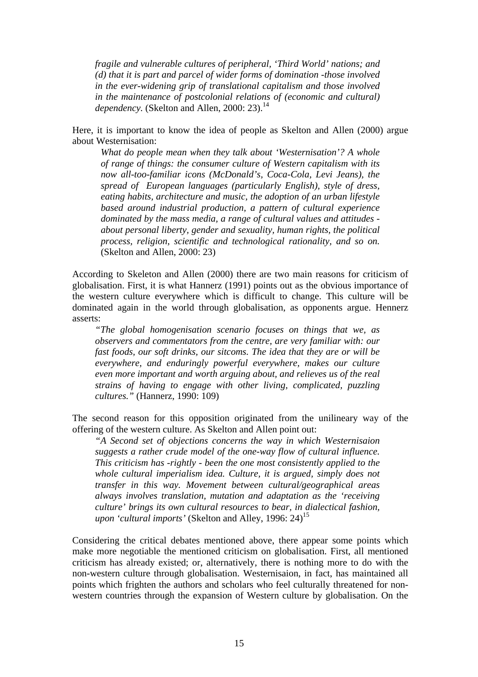*fragile and vulnerable cultures of peripheral, 'Third World' nations; and (d) that it is part and parcel of wider forms of domination -those involved in the ever-widening grip of translational capitalism and those involved in the maintenance of postcolonial relations of (economic and cultural) dependency.* (Skelton and Allen, 2000: 23).<sup>14</sup>

Here, it is important to know the idea of people as Skelton and Allen (2000) argue about Westernisation:

*What do people mean when they talk about 'Westernisation'? A whole of range of things: the consumer culture of Western capitalism with its now all-too-familiar icons (McDonald's, Coca-Cola, Levi Jeans), the spread of European languages (particularly English), style of dress, eating habits, architecture and music, the adoption of an urban lifestyle based around industrial production, a pattern of cultural experience dominated by the mass media, a range of cultural values and attitudes about personal liberty, gender and sexuality, human rights, the political process, religion, scientific and technological rationality, and so on.* (Skelton and Allen, 2000: 23)

According to Skeleton and Allen (2000) there are two main reasons for criticism of globalisation. First, it is what Hannerz (1991) points out as the obvious importance of the western culture everywhere which is difficult to change. This culture will be dominated again in the world through globalisation, as opponents argue. Hennerz asserts:

*"The global homogenisation scenario focuses on things that we, as observers and commentators from the centre, are very familiar with: our fast foods, our soft drinks, our sitcoms. The idea that they are or will be everywhere, and enduringly powerful everywhere, makes our culture even more important and worth arguing about, and relieves us of the real strains of having to engage with other living, complicated, puzzling cultures."* (Hannerz, 1990: 109)

The second reason for this opposition originated from the unilineary way of the offering of the western culture. As Skelton and Allen point out:

*"A Second set of objections concerns the way in which Westernisaion suggests a rather crude model of the one-way flow of cultural influence. This criticism has -rightly - been the one most consistently applied to the whole cultural imperialism idea. Culture, it is argued, simply does not transfer in this way. Movement between cultural/geographical areas always involves translation, mutation and adaptation as the 'receiving culture' brings its own cultural resources to bear, in dialectical fashion, upon 'cultural imports'* (Skelton and Alley, 1996: 24)<sup>15</sup>

Considering the critical debates mentioned above, there appear some points which make more negotiable the mentioned criticism on globalisation. First, all mentioned criticism has already existed; or, alternatively, there is nothing more to do with the non-western culture through globalisation. Westernisaion, in fact, has maintained all points which frighten the authors and scholars who feel culturally threatened for nonwestern countries through the expansion of Western culture by globalisation. On the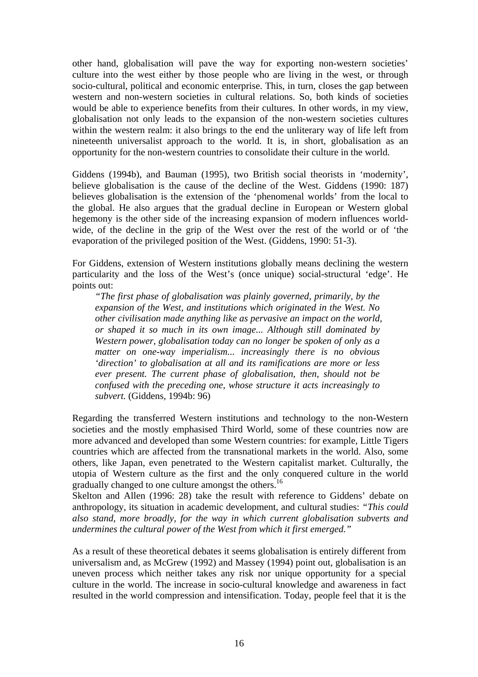other hand, globalisation will pave the way for exporting non-western societies' culture into the west either by those people who are living in the west, or through socio-cultural, political and economic enterprise. This, in turn, closes the gap between western and non-western societies in cultural relations. So, both kinds of societies would be able to experience benefits from their cultures. In other words, in my view, globalisation not only leads to the expansion of the non-western societies cultures within the western realm: it also brings to the end the unliterary way of life left from nineteenth universalist approach to the world. It is, in short, globalisation as an opportunity for the non-western countries to consolidate their culture in the world.

Giddens (1994b), and Bauman (1995), two British social theorists in 'modernity', believe globalisation is the cause of the decline of the West. Giddens (1990: 187) believes globalisation is the extension of the 'phenomenal worlds' from the local to the global. He also argues that the gradual decline in European or Western global hegemony is the other side of the increasing expansion of modern influences worldwide, of the decline in the grip of the West over the rest of the world or of 'the evaporation of the privileged position of the West. (Giddens, 1990: 51-3).

For Giddens, extension of Western institutions globally means declining the western particularity and the loss of the West's (once unique) social-structural 'edge'. He points out:

*"The first phase of globalisation was plainly governed, primarily, by the expansion of the West, and institutions which originated in the West. No other civilisation made anything like as pervasive an impact on the world, or shaped it so much in its own image... Although still dominated by Western power, globalisation today can no longer be spoken of only as a matter on one-way imperialism... increasingly there is no obvious 'direction' to globalisation at all and its ramifications are more or less ever present. The current phase of globalisation, then, should not be confused with the preceding one, whose structure it acts increasingly to subvert.* (Giddens, 1994b: 96)

Regarding the transferred Western institutions and technology to the non-Western societies and the mostly emphasised Third World, some of these countries now are more advanced and developed than some Western countries: for example, Little Tigers countries which are affected from the transnational markets in the world. Also, some others, like Japan, even penetrated to the Western capitalist market. Culturally, the utopia of Western culture as the first and the only conquered culture in the world gradually changed to one culture amongst the others.16

Skelton and Allen (1996: 28) take the result with reference to Giddens' debate on anthropology, its situation in academic development, and cultural studies: *"This could also stand, more broadly, for the way in which current globalisation subverts and undermines the cultural power of the West from which it first emerged."* 

As a result of these theoretical debates it seems globalisation is entirely different from universalism and, as McGrew (1992) and Massey (1994) point out, globalisation is an uneven process which neither takes any risk nor unique opportunity for a special culture in the world. The increase in socio-cultural knowledge and awareness in fact resulted in the world compression and intensification. Today, people feel that it is the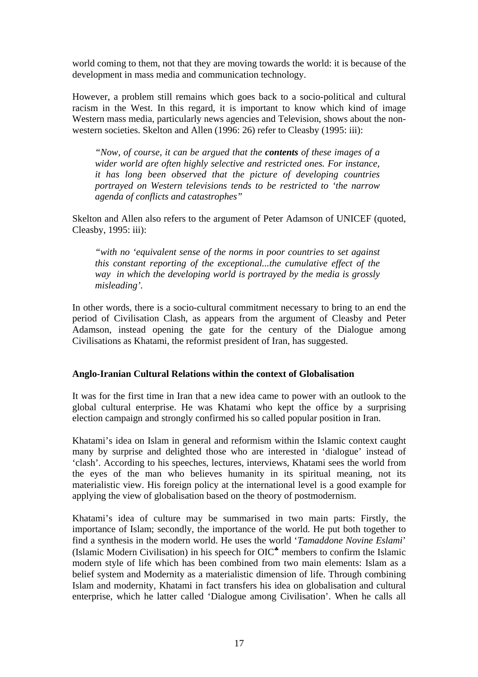world coming to them, not that they are moving towards the world: it is because of the development in mass media and communication technology.

However, a problem still remains which goes back to a socio-political and cultural racism in the West. In this regard, it is important to know which kind of image Western mass media, particularly news agencies and Television, shows about the nonwestern societies. Skelton and Allen (1996: 26) refer to Cleasby (1995: iii):

*"Now, of course, it can be argued that the contents of these images of a wider world are often highly selective and restricted ones. For instance, it has long been observed that the picture of developing countries portrayed on Western televisions tends to be restricted to 'the narrow agenda of conflicts and catastrophes"* 

Skelton and Allen also refers to the argument of Peter Adamson of UNICEF (quoted, Cleasby, 1995: iii):

*"with no 'equivalent sense of the norms in poor countries to set against this constant reporting of the exceptional...the cumulative effect of the way in which the developing world is portrayed by the media is grossly misleading'.* 

In other words, there is a socio-cultural commitment necessary to bring to an end the period of Civilisation Clash, as appears from the argument of Cleasby and Peter Adamson, instead opening the gate for the century of the Dialogue among Civilisations as Khatami, the reformist president of Iran, has suggested.

#### **Anglo-Iranian Cultural Relations within the context of Globalisation**

It was for the first time in Iran that a new idea came to power with an outlook to the global cultural enterprise. He was Khatami who kept the office by a surprising election campaign and strongly confirmed his so called popular position in Iran.

Khatami's idea on Islam in general and reformism within the Islamic context caught many by surprise and delighted those who are interested in 'dialogue' instead of 'clash'. According to his speeches, lectures, interviews, Khatami sees the world from the eyes of the man who believes humanity in its spiritual meaning, not its materialistic view. His foreign policy at the international level is a good example for applying the view of globalisation based on the theory of postmodernism.

Khatami's idea of culture may be summarised in two main parts: Firstly, the importance of Islam; secondly, the importance of the world. He put both together to find a synthesis in the modern world. He uses the world '*Tamaddone Novine Eslami*' (Islamic Modern Civilisation) in his speech for OIC♣ members to confirm the Islamic modern style of life which has been combined from two main elements: Islam as a belief system and Modernity as a materialistic dimension of life. Through combining Islam and modernity, Khatami in fact transfers his idea on globalisation and cultural enterprise, which he latter called 'Dialogue among Civilisation'. When he calls all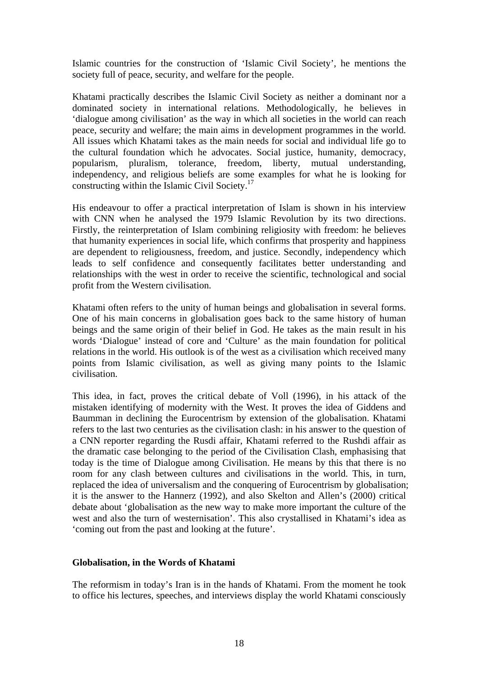Islamic countries for the construction of 'Islamic Civil Society', he mentions the society full of peace, security, and welfare for the people.

Khatami practically describes the Islamic Civil Society as neither a dominant nor a dominated society in international relations. Methodologically, he believes in 'dialogue among civilisation' as the way in which all societies in the world can reach peace, security and welfare; the main aims in development programmes in the world. All issues which Khatami takes as the main needs for social and individual life go to the cultural foundation which he advocates. Social justice, humanity, democracy, popularism, pluralism, tolerance, freedom, liberty, mutual understanding, independency, and religious beliefs are some examples for what he is looking for constructing within the Islamic Civil Society.<sup>17</sup>

His endeavour to offer a practical interpretation of Islam is shown in his interview with CNN when he analysed the 1979 Islamic Revolution by its two directions. Firstly, the reinterpretation of Islam combining religiosity with freedom: he believes that humanity experiences in social life, which confirms that prosperity and happiness are dependent to religiousness, freedom, and justice. Secondly, independency which leads to self confidence and consequently facilitates better understanding and relationships with the west in order to receive the scientific, technological and social profit from the Western civilisation.

Khatami often refers to the unity of human beings and globalisation in several forms. One of his main concerns in globalisation goes back to the same history of human beings and the same origin of their belief in God. He takes as the main result in his words 'Dialogue' instead of core and 'Culture' as the main foundation for political relations in the world. His outlook is of the west as a civilisation which received many points from Islamic civilisation, as well as giving many points to the Islamic civilisation.

This idea, in fact, proves the critical debate of Voll (1996), in his attack of the mistaken identifying of modernity with the West. It proves the idea of Giddens and Baumman in declining the Eurocentrism by extension of the globalisation. Khatami refers to the last two centuries as the civilisation clash: in his answer to the question of a CNN reporter regarding the Rusdi affair, Khatami referred to the Rushdi affair as the dramatic case belonging to the period of the Civilisation Clash, emphasising that today is the time of Dialogue among Civilisation. He means by this that there is no room for any clash between cultures and civilisations in the world. This, in turn, replaced the idea of universalism and the conquering of Eurocentrism by globalisation; it is the answer to the Hannerz (1992), and also Skelton and Allen's (2000) critical debate about 'globalisation as the new way to make more important the culture of the west and also the turn of westernisation'. This also crystallised in Khatami's idea as 'coming out from the past and looking at the future'.

### **Globalisation, in the Words of Khatami**

The reformism in today's Iran is in the hands of Khatami. From the moment he took to office his lectures, speeches, and interviews display the world Khatami consciously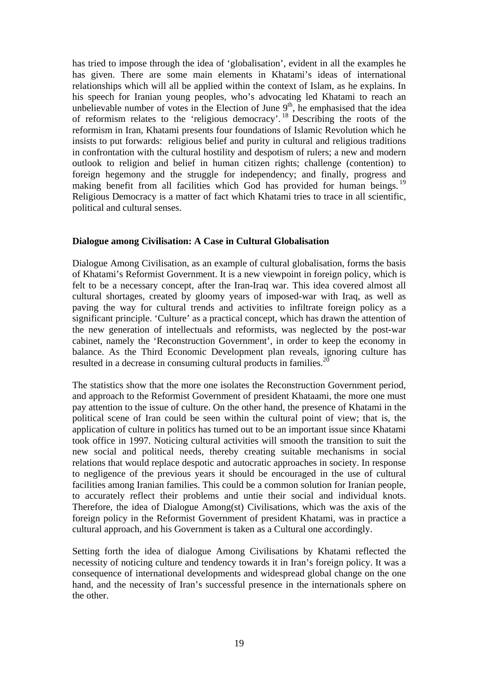has tried to impose through the idea of 'globalisation', evident in all the examples he has given. There are some main elements in Khatami's ideas of international relationships which will all be applied within the context of Islam, as he explains. In his speech for Iranian young peoples, who's advocating led Khatami to reach an unbelievable number of votes in the Election of June  $9<sup>th</sup>$ , he emphasised that the idea of reformism relates to the 'religious democracy'.<sup>18</sup> Describing the roots of the reformism in Iran, Khatami presents four foundations of Islamic Revolution which he insists to put forwards: religious belief and purity in cultural and religious traditions in confrontation with the cultural hostility and despotism of rulers; a new and modern outlook to religion and belief in human citizen rights; challenge (contention) to foreign hegemony and the struggle for independency; and finally, progress and making benefit from all facilities which God has provided for human beings. <sup>19</sup> Religious Democracy is a matter of fact which Khatami tries to trace in all scientific, political and cultural senses.

### **Dialogue among Civilisation: A Case in Cultural Globalisation**

Dialogue Among Civilisation, as an example of cultural globalisation, forms the basis of Khatami's Reformist Government. It is a new viewpoint in foreign policy, which is felt to be a necessary concept, after the Iran-Iraq war. This idea covered almost all cultural shortages, created by gloomy years of imposed-war with Iraq, as well as paving the way for cultural trends and activities to infiltrate foreign policy as a significant principle. 'Culture' as a practical concept, which has drawn the attention of the new generation of intellectuals and reformists, was neglected by the post-war cabinet, namely the 'Reconstruction Government', in order to keep the economy in balance. As the Third Economic Development plan reveals, ignoring culture has resulted in a decrease in consuming cultural products in families.<sup>2</sup>

The statistics show that the more one isolates the Reconstruction Government period, and approach to the Reformist Government of president Khataami, the more one must pay attention to the issue of culture. On the other hand, the presence of Khatami in the political scene of Iran could be seen within the cultural point of view; that is, the application of culture in politics has turned out to be an important issue since Khatami took office in 1997. Noticing cultural activities will smooth the transition to suit the new social and political needs, thereby creating suitable mechanisms in social relations that would replace despotic and autocratic approaches in society. In response to negligence of the previous years it should be encouraged in the use of cultural facilities among Iranian families. This could be a common solution for Iranian people, to accurately reflect their problems and untie their social and individual knots. Therefore, the idea of Dialogue Among(st) Civilisations, which was the axis of the foreign policy in the Reformist Government of president Khatami, was in practice a cultural approach, and his Government is taken as a Cultural one accordingly.

Setting forth the idea of dialogue Among Civilisations by Khatami reflected the necessity of noticing culture and tendency towards it in Iran's foreign policy. It was a consequence of international developments and widespread global change on the one hand, and the necessity of Iran's successful presence in the internationals sphere on the other.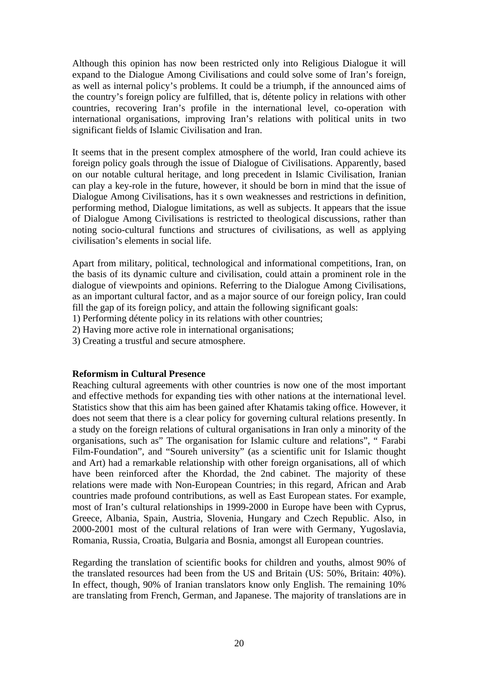Although this opinion has now been restricted only into Religious Dialogue it will expand to the Dialogue Among Civilisations and could solve some of Iran's foreign, as well as internal policy's problems. It could be a triumph, if the announced aims of the country's foreign policy are fulfilled, that is, détente policy in relations with other countries, recovering Iran's profile in the international level, co-operation with international organisations, improving Iran's relations with political units in two significant fields of Islamic Civilisation and Iran.

It seems that in the present complex atmosphere of the world, Iran could achieve its foreign policy goals through the issue of Dialogue of Civilisations. Apparently, based on our notable cultural heritage, and long precedent in Islamic Civilisation, Iranian can play a key-role in the future, however, it should be born in mind that the issue of Dialogue Among Civilisations, has it s own weaknesses and restrictions in definition, performing method, Dialogue limitations, as well as subjects. It appears that the issue of Dialogue Among Civilisations is restricted to theological discussions, rather than noting socio-cultural functions and structures of civilisations, as well as applying civilisation's elements in social life.

Apart from military, political, technological and informational competitions, Iran, on the basis of its dynamic culture and civilisation, could attain a prominent role in the dialogue of viewpoints and opinions. Referring to the Dialogue Among Civilisations, as an important cultural factor, and as a major source of our foreign policy, Iran could fill the gap of its foreign policy, and attain the following significant goals:

- 1) Performing détente policy in its relations with other countries;
- 2) Having more active role in international organisations;
- 3) Creating a trustful and secure atmosphere.

### **Reformism in Cultural Presence**

Reaching cultural agreements with other countries is now one of the most important and effective methods for expanding ties with other nations at the international level. Statistics show that this aim has been gained after Khatamis taking office. However, it does not seem that there is a clear policy for governing cultural relations presently. In a study on the foreign relations of cultural organisations in Iran only a minority of the organisations, such as" The organisation for Islamic culture and relations", " Farabi Film-Foundation", and "Soureh university" (as a scientific unit for Islamic thought and Art) had a remarkable relationship with other foreign organisations, all of which have been reinforced after the Khordad, the 2nd cabinet. The majority of these relations were made with Non-European Countries; in this regard, African and Arab countries made profound contributions, as well as East European states. For example, most of Iran's cultural relationships in 1999-2000 in Europe have been with Cyprus, Greece, Albania, Spain, Austria, Slovenia, Hungary and Czech Republic. Also, in 2000-2001 most of the cultural relations of Iran were with Germany, Yugoslavia, Romania, Russia, Croatia, Bulgaria and Bosnia, amongst all European countries.

Regarding the translation of scientific books for children and youths, almost 90% of the translated resources had been from the US and Britain (US: 50%, Britain: 40%). In effect, though, 90% of Iranian translators know only English. The remaining 10% are translating from French, German, and Japanese. The majority of translations are in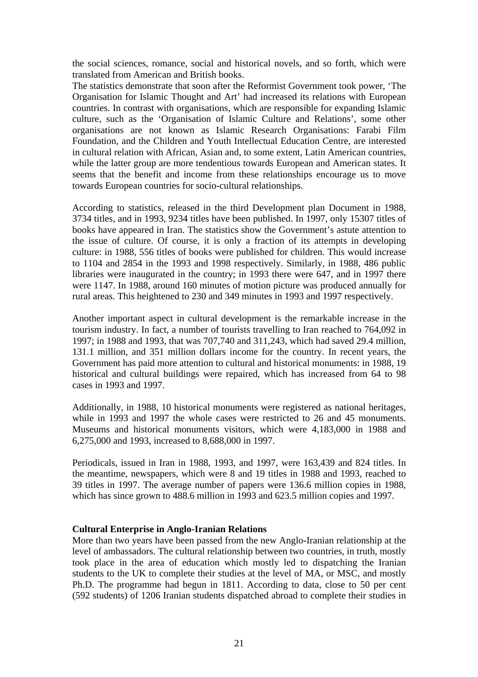the social sciences, romance, social and historical novels, and so forth, which were translated from American and British books.

The statistics demonstrate that soon after the Reformist Government took power, 'The Organisation for Islamic Thought and Art' had increased its relations with European countries. In contrast with organisations, which are responsible for expanding Islamic culture, such as the 'Organisation of Islamic Culture and Relations', some other organisations are not known as Islamic Research Organisations: Farabi Film Foundation, and the Children and Youth Intellectual Education Centre, are interested in cultural relation with African, Asian and, to some extent, Latin American countries, while the latter group are more tendentious towards European and American states. It seems that the benefit and income from these relationships encourage us to move towards European countries for socio-cultural relationships.

According to statistics, released in the third Development plan Document in 1988, 3734 titles, and in 1993, 9234 titles have been published. In 1997, only 15307 titles of books have appeared in Iran. The statistics show the Government's astute attention to the issue of culture. Of course, it is only a fraction of its attempts in developing culture: in 1988, 556 titles of books were published for children. This would increase to 1104 and 2854 in the 1993 and 1998 respectively. Similarly, in 1988, 486 public libraries were inaugurated in the country; in 1993 there were 647, and in 1997 there were 1147. In 1988, around 160 minutes of motion picture was produced annually for rural areas. This heightened to 230 and 349 minutes in 1993 and 1997 respectively.

Another important aspect in cultural development is the remarkable increase in the tourism industry. In fact, a number of tourists travelling to Iran reached to 764,092 in 1997; in 1988 and 1993, that was 707,740 and 311,243, which had saved 29.4 million, 131.1 million, and 351 million dollars income for the country. In recent years, the Government has paid more attention to cultural and historical monuments: in 1988, 19 historical and cultural buildings were repaired, which has increased from 64 to 98 cases in 1993 and 1997.

Additionally, in 1988, 10 historical monuments were registered as national heritages, while in 1993 and 1997 the whole cases were restricted to 26 and 45 monuments. Museums and historical monuments visitors, which were 4,183,000 in 1988 and 6,275,000 and 1993, increased to 8,688,000 in 1997.

Periodicals, issued in Iran in 1988, 1993, and 1997, were 163,439 and 824 titles. In the meantime, newspapers, which were 8 and 19 titles in 1988 and 1993, reached to 39 titles in 1997. The average number of papers were 136.6 million copies in 1988, which has since grown to 488.6 million in 1993 and 623.5 million copies and 1997.

#### **Cultural Enterprise in Anglo-Iranian Relations**

More than two years have been passed from the new Anglo-Iranian relationship at the level of ambassadors. The cultural relationship between two countries, in truth, mostly took place in the area of education which mostly led to dispatching the Iranian students to the UK to complete their studies at the level of MA, or MSC, and mostly Ph.D. The programme had begun in 1811. According to data, close to 50 per cent (592 students) of 1206 Iranian students dispatched abroad to complete their studies in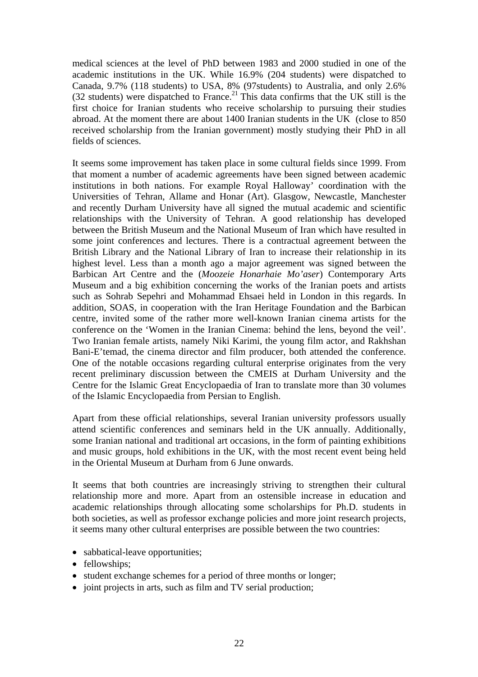medical sciences at the level of PhD between 1983 and 2000 studied in one of the academic institutions in the UK. While 16.9% (204 students) were dispatched to Canada, 9.7% (118 students) to USA, 8% (97students) to Australia, and only 2.6% (32 students) were dispatched to France.<sup>21</sup> This data confirms that the UK still is the first choice for Iranian students who receive scholarship to pursuing their studies abroad. At the moment there are about 1400 Iranian students in the UK (close to 850 received scholarship from the Iranian government) mostly studying their PhD in all fields of sciences.

It seems some improvement has taken place in some cultural fields since 1999. From that moment a number of academic agreements have been signed between academic institutions in both nations. For example Royal Halloway' coordination with the Universities of Tehran, Allame and Honar (Art). Glasgow, Newcastle, Manchester and recently Durham University have all signed the mutual academic and scientific relationships with the University of Tehran. A good relationship has developed between the British Museum and the National Museum of Iran which have resulted in some joint conferences and lectures. There is a contractual agreement between the British Library and the National Library of Iran to increase their relationship in its highest level. Less than a month ago a major agreement was signed between the Barbican Art Centre and the (*Moozeie Honarhaie Mo'aser*) Contemporary Arts Museum and a big exhibition concerning the works of the Iranian poets and artists such as Sohrab Sepehri and Mohammad Ehsaei held in London in this regards. In addition, SOAS, in cooperation with the Iran Heritage Foundation and the Barbican centre, invited some of the rather more well-known Iranian cinema artists for the conference on the 'Women in the Iranian Cinema: behind the lens, beyond the veil'. Two Iranian female artists, namely Niki Karimi, the young film actor, and Rakhshan Bani-E'temad, the cinema director and film producer, both attended the conference. One of the notable occasions regarding cultural enterprise originates from the very recent preliminary discussion between the CMEIS at Durham University and the Centre for the Islamic Great Encyclopaedia of Iran to translate more than 30 volumes of the Islamic Encyclopaedia from Persian to English.

Apart from these official relationships, several Iranian university professors usually attend scientific conferences and seminars held in the UK annually. Additionally, some Iranian national and traditional art occasions, in the form of painting exhibitions and music groups, hold exhibitions in the UK, with the most recent event being held in the Oriental Museum at Durham from 6 June onwards.

It seems that both countries are increasingly striving to strengthen their cultural relationship more and more. Apart from an ostensible increase in education and academic relationships through allocating some scholarships for Ph.D. students in both societies, as well as professor exchange policies and more joint research projects, it seems many other cultural enterprises are possible between the two countries:

- sabbatical-leave opportunities;
- fellowships;
- student exchange schemes for a period of three months or longer;
- joint projects in arts, such as film and TV serial production;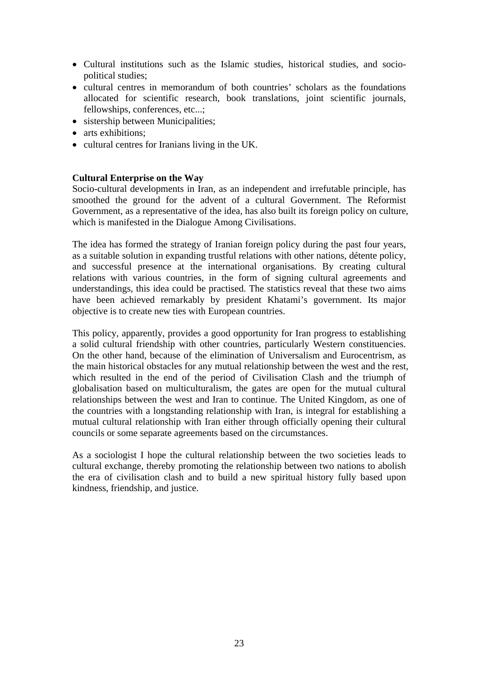- Cultural institutions such as the Islamic studies, historical studies, and sociopolitical studies;
- cultural centres in memorandum of both countries' scholars as the foundations allocated for scientific research, book translations, joint scientific journals, fellowships, conferences, etc...;
- sistership between Municipalities;
- arts exhibitions:
- cultural centres for Iranians living in the UK.

### **Cultural Enterprise on the Way**

Socio-cultural developments in Iran, as an independent and irrefutable principle, has smoothed the ground for the advent of a cultural Government. The Reformist Government, as a representative of the idea, has also built its foreign policy on culture, which is manifested in the Dialogue Among Civilisations.

The idea has formed the strategy of Iranian foreign policy during the past four years, as a suitable solution in expanding trustful relations with other nations, détente policy, and successful presence at the international organisations. By creating cultural relations with various countries, in the form of signing cultural agreements and understandings, this idea could be practised. The statistics reveal that these two aims have been achieved remarkably by president Khatami's government. Its major objective is to create new ties with European countries.

This policy, apparently, provides a good opportunity for Iran progress to establishing a solid cultural friendship with other countries, particularly Western constituencies. On the other hand, because of the elimination of Universalism and Eurocentrism, as the main historical obstacles for any mutual relationship between the west and the rest, which resulted in the end of the period of Civilisation Clash and the triumph of globalisation based on multiculturalism, the gates are open for the mutual cultural relationships between the west and Iran to continue. The United Kingdom, as one of the countries with a longstanding relationship with Iran, is integral for establishing a mutual cultural relationship with Iran either through officially opening their cultural councils or some separate agreements based on the circumstances.

As a sociologist I hope the cultural relationship between the two societies leads to cultural exchange, thereby promoting the relationship between two nations to abolish the era of civilisation clash and to build a new spiritual history fully based upon kindness, friendship, and justice.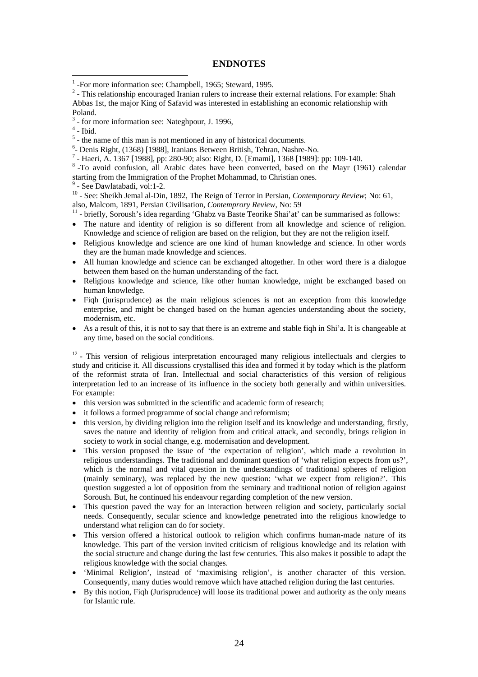#### **ENDNOTES**

 $2 -$  This relationship encouraged Iranian rulers to increase their external relations. For example: Shah Abbas 1st, the major King of Safavid was interested in establishing an economic relationship with Poland.

 $<sup>4</sup>$  - Ibid.</sup>

 $\overline{a}$ 

- <sup>6</sup> Denis Right, (1368) [1988], Iranians Between British, Tehran, Nashre-No.<br><sup>7</sup> Heari A, 1367 [1088], pp. 280, 00; also: Bight, D. [Emamil, 1368 [1080].
- Haeri, A. 1367 [1988], pp: 280-90; also: Right, D. [Emami], 1368 [1989]: pp: 109-140.

<sup>8</sup>-To avoid confusion, all Arabic dates have been converted, based on the Mayr (1961) calendar starting from the Immigration of the Prophet Mohammad, to Christian ones.

9 - See Dawlatabadi, vol:1-2.

<sup>10</sup> - See: Sheikh Jemal al-Din, 1892, The Reign of Terror in Persian, *Contemporary Review*; No: 61, also, Malcom, 1891, Persian Civilisation, *Contemprory Review*, No: 59<br><sup>11</sup> - briefly, Soroush's idea regarding 'Ghabz va Baste Teorike Shai'at' can be summarised as follows:

- 
- The nature and identity of religion is so different from all knowledge and science of religion. Knowledge and science of religion are based on the religion, but they are not the religion itself.
- Religious knowledge and science are one kind of human knowledge and science. In other words they are the human made knowledge and sciences.
- All human knowledge and science can be exchanged altogether. In other word there is a dialogue between them based on the human understanding of the fact.
- Religious knowledge and science, like other human knowledge, might be exchanged based on human knowledge.
- Figh (jurisprudence) as the main religious sciences is not an exception from this knowledge enterprise, and might be changed based on the human agencies understanding about the society, modernism, etc.
- As a result of this, it is not to say that there is an extreme and stable fiqh in Shi'a. It is changeable at any time, based on the social conditions.

<sup>12</sup> - This version of religious interpretation encouraged many religious intellectuals and clergies to study and criticise it. All discussions crystallised this idea and formed it by today which is the platform of the reformist strata of Iran. Intellectual and social characteristics of this version of religious interpretation led to an increase of its influence in the society both generally and within universities. For example:

- this version was submitted in the scientific and academic form of research;
- it follows a formed programme of social change and reformism;
- this version, by dividing religion into the religion itself and its knowledge and understanding, firstly, saves the nature and identity of religion from and critical attack, and secondly, brings religion in society to work in social change, e.g. modernisation and development.
- This version proposed the issue of 'the expectation of religion', which made a revolution in religious understandings. The traditional and dominant question of 'what religion expects from us?', which is the normal and vital question in the understandings of traditional spheres of religion (mainly seminary), was replaced by the new question: 'what we expect from religion?'. This question suggested a lot of opposition from the seminary and traditional notion of religion against Soroush. But, he continued his endeavour regarding completion of the new version.
- This question paved the way for an interaction between religion and society, particularly social needs. Consequently, secular science and knowledge penetrated into the religious knowledge to understand what religion can do for society.
- This version offered a historical outlook to religion which confirms human-made nature of its knowledge. This part of the version invited criticism of religious knowledge and its relation with the social structure and change during the last few centuries. This also makes it possible to adapt the religious knowledge with the social changes.
- 'Minimal Religion', instead of 'maximising religion', is another character of this version. Consequently, many duties would remove which have attached religion during the last centuries.
- By this notion, Fiqh (Jurisprudence) will loose its traditional power and authority as the only means for Islamic rule.

<sup>&</sup>lt;sup>1</sup>-For more information see: Champbell, 1965; Steward, 1995.

 $3$  - for more information see: Nateghpour, J. 1996,

 $<sup>5</sup>$  - the name of this man is not mentioned in any of historical documents.</sup>